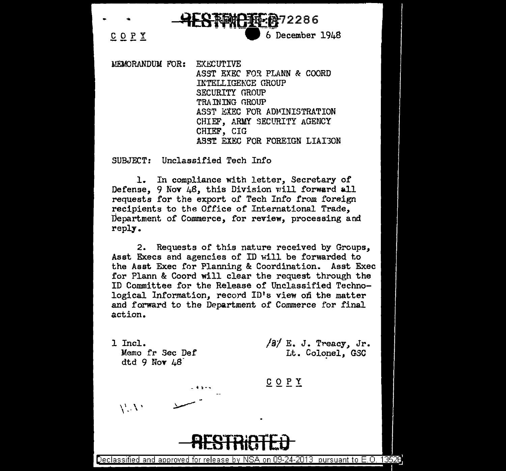... **!wlESMBiiEft-7** 2 2 B 6 £Of.! -. -- -.-6~ December 1948

MEMORANDUM FOR: EXECUTIVE ASST EXEC FOR PLANN & COORD INTELLIGEKCE GROUP SECURITY GROUP TRAINING GROUP ASST EXEC FOR ADMINISTRATION CHIEF, ARMY SECURITY AGENCY CHIEF, GIG ASST EXEC FOR FOREIGN LIAI3ON

SUBJECT: Unclassified Tech Info

1. In compliance with letter, Secretary of Defense,  $9$  Nov  $48$ , this Division will forward all requests for the export of Tech Info *from* foreign recipients to the Office of International Trade, Department of Commerce, for review, processing and reply.

2. Requests of this nature received by Groups, Asst Execs and agencies of ID will be forwarded to the Asst Exec for Planning & Coordination. Asst Exec for Plann & Coord will clear the request through the ID Committee for the Release of Unclassified Technological Information, record ID's view on the matter and forward to the Department of Commerce for final action.

1 Incl. Memo fr Sec Def dtd 9 Nov  $\mu$ 8

- **i** !! ......

*/sf* E. J. Treacy, Jr. Lt. Colonel, GSC

COPY

 $\rm V \, N$ 

## **RESTRiOTEO**

Declassified and approved for release by NSA on 09-24-2013 pursuant to E.O. 13526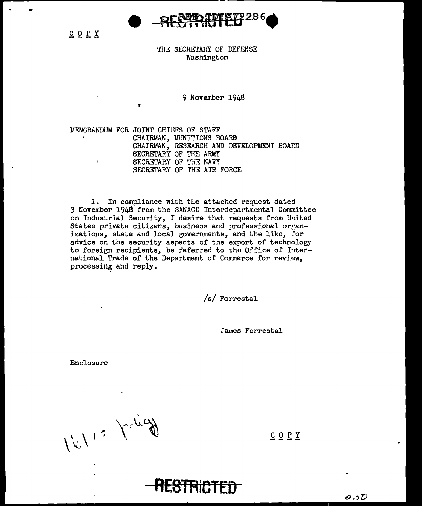

 $C$   $O$   $P$   $Y$ 

THE SECRETARY OF DEFENSE Washington

9 November 1948

MEMORANDUM FOR JOINT CHIEFS OF STAFF CHAIRMAN, MUNITIONS BOARD CHAIRMAN, RESEARCH AND DEVELOPMENT BOARD SECRETARY OF THE ARMY SECRETARY OF THE NAVY SECRETARY OF THE AIR FORCE

1. In compliance with the attached request dated 3 November 1948 from the SANACC Interdepartmental Committee on Industrial Security, I desire that requests from United States private citizens, business and professional organizations, state and local governments, and the like, for advice on the security aspects of the export of technology to foreign recipients, be feferred to the Office of International Trade of the Department of Commerce for review, processing and reply.

/s/ Forrestal

James Forrestal

Enclosure

16112 Valie

COPY

O ST